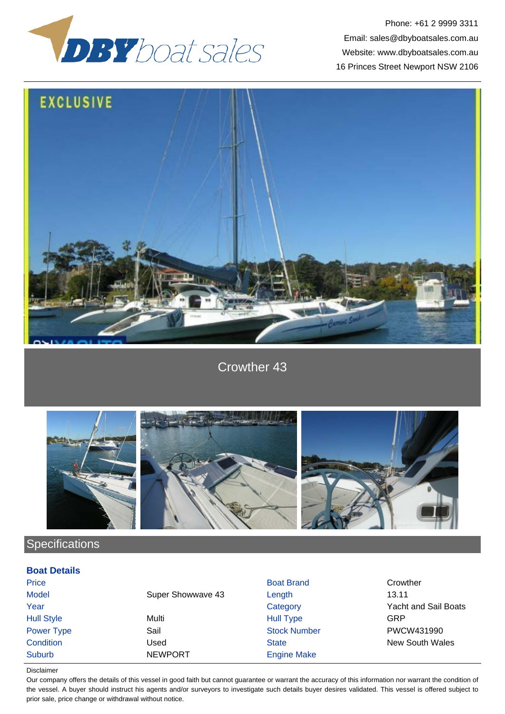

Phone: +61 2 9999 3311 Email: sales@dbyboatsales.com.au Website: www.dbyboatsales.com.au 16 Princes Street Newport NSW 2106



Crowther 43



**Specifications** 

## **Boat Details**

| <b>Boat Brand</b>           | Crowther             |
|-----------------------------|----------------------|
| Super Showwave 43<br>Length | 13.11                |
| Category                    | Yacht and Sail Boats |
| <b>Hull Type</b>            | GRP                  |
| <b>Stock Number</b>         | PWCW431990           |
| <b>State</b>                | New South Wales      |
| <b>Engine Make</b>          |                      |
|                             |                      |

Disclaimer

Our company offers the details of this vessel in good faith but cannot guarantee or warrant the accuracy of this information nor warrant the condition of the vessel. A buyer should instruct his agents and/or surveyors to investigate such details buyer desires validated. This vessel is offered subject to prior sale, price change or withdrawal without notice.